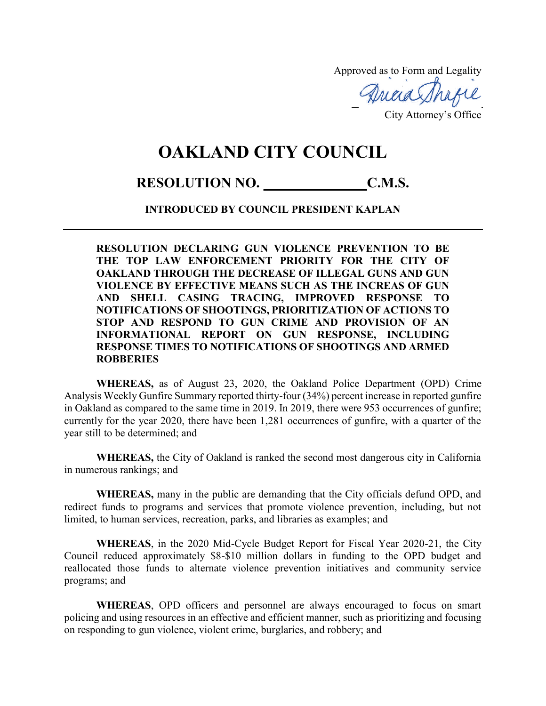Approved as to Form and Legality

Quaa Thafe

City Attorney's Office

## **OAKLAND CITY COUNCIL**

## RESOLUTION NO. C.M.S.

## **INTRODUCED BY COUNCIL PRESIDENT KAPLAN**

**RESOLUTION DECLARING GUN VIOLENCE PREVENTION TO BE THE TOP LAW ENFORCEMENT PRIORITY FOR THE CITY OF OAKLAND THROUGH THE DECREASE OF ILLEGAL GUNS AND GUN VIOLENCE BY EFFECTIVE MEANS SUCH AS THE INCREAS OF GUN AND SHELL CASING TRACING, IMPROVED RESPONSE TO NOTIFICATIONS OF SHOOTINGS, PRIORITIZATION OF ACTIONS TO STOP AND RESPOND TO GUN CRIME AND PROVISION OF AN INFORMATIONAL REPORT ON GUN RESPONSE, INCLUDING RESPONSE TIMES TO NOTIFICATIONS OF SHOOTINGS AND ARMED ROBBERIES**

**WHEREAS,** as of August 23, 2020, the Oakland Police Department (OPD) Crime Analysis Weekly Gunfire Summary reported thirty-four (34%) percent increase in reported gunfire in Oakland as compared to the same time in 2019. In 2019, there were 953 occurrences of gunfire; currently for the year 2020, there have been 1,281 occurrences of gunfire, with a quarter of the year still to be determined; and

**WHEREAS,** the City of Oakland is ranked the second most dangerous city in California in numerous rankings; and

**WHEREAS,** many in the public are demanding that the City officials defund OPD, and redirect funds to programs and services that promote violence prevention, including, but not limited, to human services, recreation, parks, and libraries as examples; and

**WHEREAS**, in the 2020 Mid-Cycle Budget Report for Fiscal Year 2020-21, the City Council reduced approximately \$8-\$10 million dollars in funding to the OPD budget and reallocated those funds to alternate violence prevention initiatives and community service programs; and

**WHEREAS**, OPD officers and personnel are always encouraged to focus on smart policing and using resources in an effective and efficient manner, such as prioritizing and focusing on responding to gun violence, violent crime, burglaries, and robbery; and